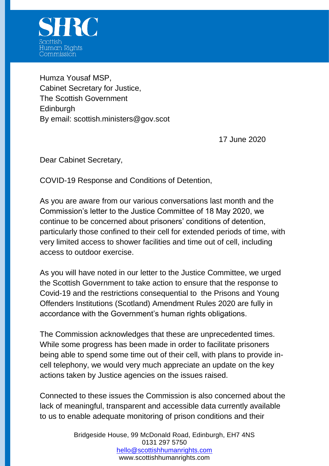

Humza Yousaf MSP, Cabinet Secretary for Justice, The Scottish Government **Edinburgh** By email: scottish.ministers@gov.scot

17 June 2020

Dear Cabinet Secretary,

COVID-19 Response and Conditions of Detention,

As you are aware from our various conversations last month and the Commission's letter to the Justice Committee of 18 May 2020, we continue to be concerned about prisoners' conditions of detention, particularly those confined to their cell for extended periods of time, with very limited access to shower facilities and time out of cell, including access to outdoor exercise.

As you will have noted in our letter to the Justice Committee, we urged the Scottish Government to take action to ensure that the response to Covid-19 and the restrictions consequential to the Prisons and Young Offenders Institutions (Scotland) Amendment Rules 2020 are fully in accordance with the Government's human rights obligations.

The Commission acknowledges that these are unprecedented times. While some progress has been made in order to facilitate prisoners being able to spend some time out of their cell, with plans to provide incell telephony, we would very much appreciate an update on the key actions taken by Justice agencies on the issues raised.

Connected to these issues the Commission is also concerned about the lack of meaningful, transparent and accessible data currently available to us to enable adequate monitoring of prison conditions and their

> Bridgeside House, 99 McDonald Road, Edinburgh, EH7 4NS 0131 297 5750 [hello@scottishhumanrights.com](mailto:hello@scottishhumanrights.com) www.scottishhumanrights.com